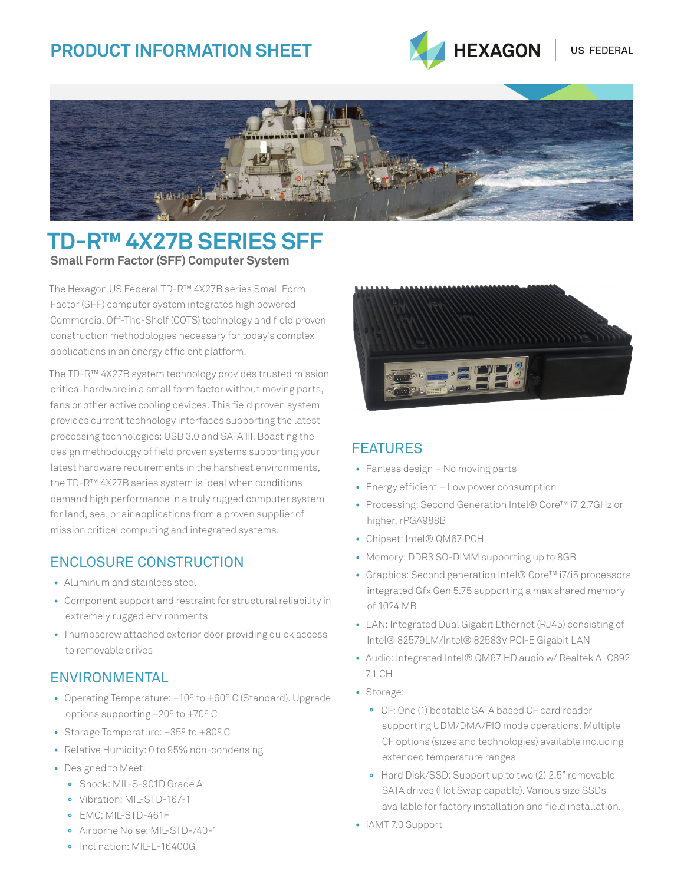# **Product Information SHEET**





## **TD-R™ 4X27B Series SFF Small Form Factor (SFF) Computer System**

The Hexagon US Federal TD-R™ 4X27B series Small Form Factor (SFF) computer system integrates high powered Commercial Off-The-Shelf (COTS) technology and field proven construction methodologies necessary for today's complex applications in an energy efficient platform.

The TD-R™ 4X27B system technology provides trusted mission critical hardware in a small form factor without moving parts, fans or other active cooling devices. This field proven system provides current technology interfaces supporting the latest processing technologies: USB 3.0 and SATA III. Boasting the design methodology of field proven systems supporting your latest hardware requirements in the harshest environments, the TD-R™ 4X27B series system is ideal when conditions demand high performance in a truly rugged computer system for land, sea, or air applications from a proven supplier of mission critical computing and integrated systems.

## Enclosure Construction

- Aluminum and stainless steel
- Component support and restraint for structural reliability in extremely rugged environments
- Thumbscrew attached exterior door providing quick access to removable drives

## **ENVIRONMENTAL**

- Operating Temperature: –10º to +60° C (Standard). Upgrade options supporting –20º to +70º C
- Storage Temperature: –35º to +80º C
- Relative Humidity: 0 to 95% non-condensing
- Designed to Meet:
	- **°** Shock: MIL-S-901D Grade A
	- **°** Vibration: MIL-STD-167-1
	- **°** EMC: MIL-STD-461F
	- **°** Airborne Noise: MIL-STD-740-1

### **FFATURFS**

- Fanless design No moving parts
- Energy efficient Low power consumption
- Processing: Second Generation Intel® Core™ i7 2.7GHz or higher, rPGA988B
- Chipset: Intel® QM67 PCH
- Memory: DDR3 SO-DIMM supporting up to 8GB
- Graphics: Second generation Intel® Core™ i7/i5 processors integrated Gfx Gen 5.75 supporting a max shared memory of 1024 MB
- LAN: Integrated Dual Gigabit Ethernet (RJ45) consisting of Intel® 82579LM/Intel® 82583V PCI-E Gigabit LAN
- Audio: Integrated Intel® QM67 HD audio w/ Realtek ALC892 7.1 CH
- Storage:
	- **°** CF: One (1) bootable SATA based CF card reader supporting UDM/DMA/PIO mode operations. Multiple CF options (sizes and technologies) available including extended temperature ranges
	- **°** Hard Disk/SSD: Support up to two (2) 2.5" removable SATA drives (Hot Swap capable). Various size SSDs available for factory installation and field installation.
- iAMT 7.0 Support

**°** Inclination: MIL-E-16400G